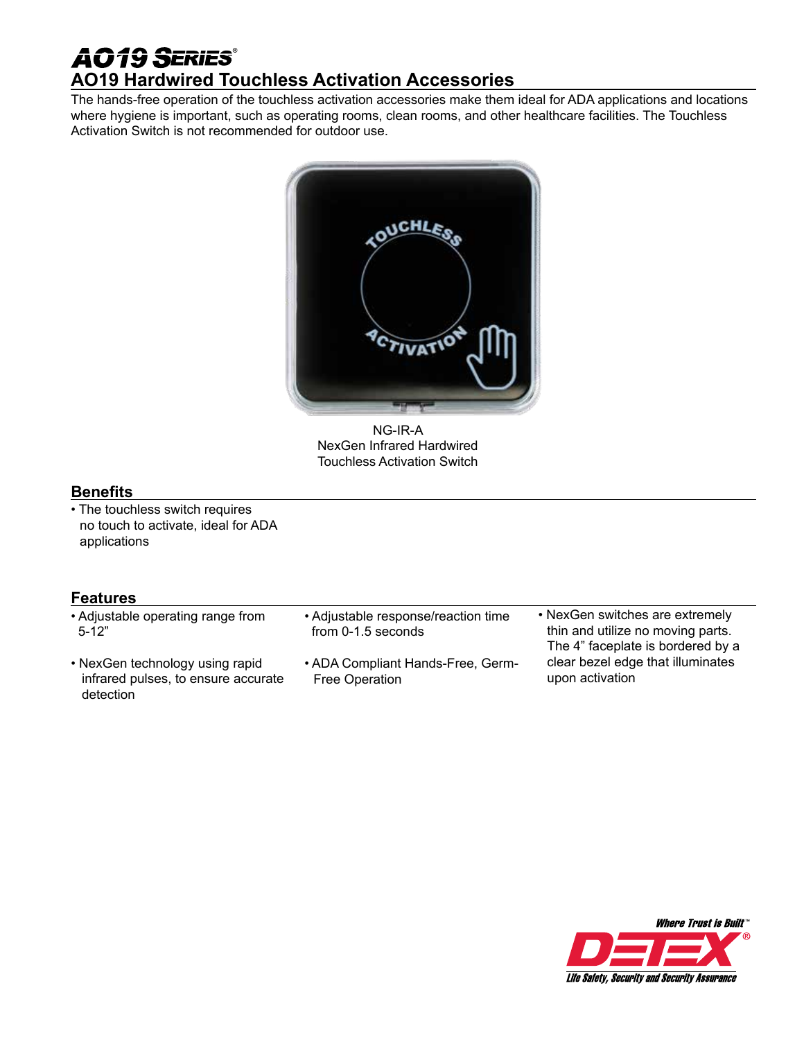# **AO19 SERIES® AO19 Hardwired Touchless Activation Accessories**

The hands-free operation of the touchless activation accessories make them ideal for ADA applications and locations where hygiene is important, such as operating rooms, clean rooms, and other healthcare facilities. The Touchless Activation Switch is not recommended for outdoor use.



NG-IR-A NexGen Infrared Hardwired Touchless Activation Switch

#### **Benefits**

• The touchless switch requires no touch to activate, ideal for ADA applications

### **Features**

- Adjustable operating range from 5-12"
- NexGen technology using rapid infrared pulses, to ensure accurate detection
- Adjustable response/reaction time from 0-1.5 seconds
- ADA Compliant Hands-Free, Germ-Free Operation
- NexGen switches are extremely thin and utilize no moving parts. The 4" faceplate is bordered by a clear bezel edge that illuminates upon activation